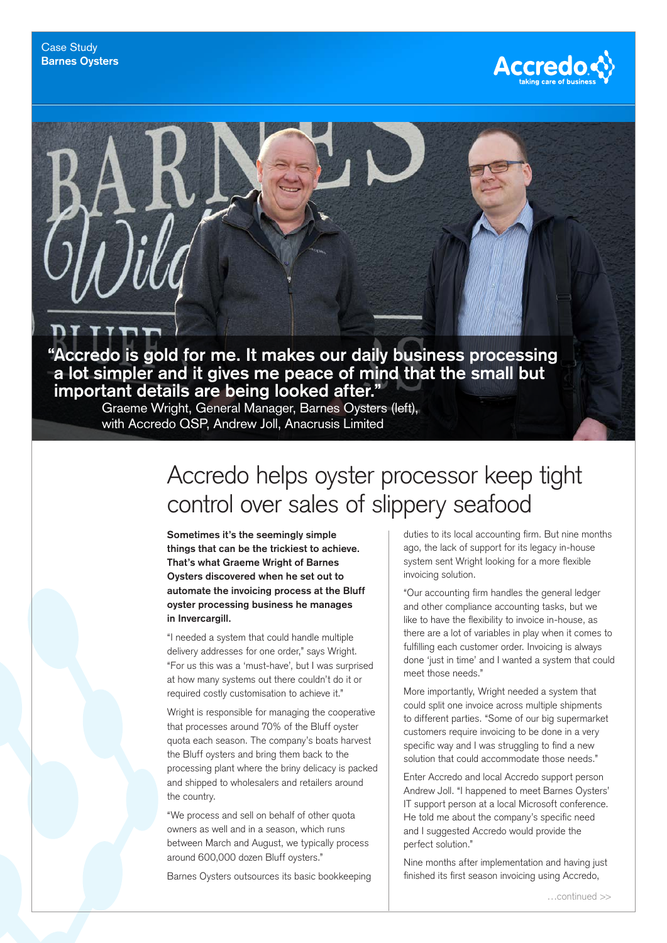

**"Accredo is gold for me. It makes our daily business processing a lot simpler and it gives me peace of mind that the small but important details are being looked after."**

Graeme Wright, General Manager, Barnes Oysters (left), with Accredo QSP, Andrew Joll, Anacrusis Limited

## Accredo helps oyster processor keep tight control over sales of slippery seafood

**Sometimes it's the seemingly simple things that can be the trickiest to achieve. That's what Graeme Wright of Barnes Oysters discovered when he set out to automate the invoicing process at the Bluff oyster processing business he manages in Invercargill.**

"I needed a system that could handle multiple delivery addresses for one order," says Wright. "For us this was a 'must-have', but I was surprised at how many systems out there couldn't do it or required costly customisation to achieve it."

Wright is responsible for managing the cooperative that processes around 70% of the Bluff oyster quota each season. The company's boats harvest the Bluff oysters and bring them back to the processing plant where the briny delicacy is packed and shipped to wholesalers and retailers around the country.

"We process and sell on behalf of other quota owners as well and in a season, which runs between March and August, we typically process around 600,000 dozen Bluff oysters."

Barnes Oysters outsources its basic bookkeeping

duties to its local accounting firm. But nine months ago, the lack of support for its legacy in-house system sent Wright looking for a more flexible invoicing solution.

"Our accounting firm handles the general ledger and other compliance accounting tasks, but we like to have the flexibility to invoice in-house, as there are a lot of variables in play when it comes to fulfilling each customer order. Invoicing is always done 'just in time' and I wanted a system that could meet those needs."

More importantly, Wright needed a system that could split one invoice across multiple shipments to different parties. "Some of our big supermarket customers require invoicing to be done in a very specific way and I was struggling to find a new solution that could accommodate those needs."

Enter Accredo and local Accredo support person Andrew Joll. "I happened to meet Barnes Oysters' IT support person at a local Microsoft conference. He told me about the company's specific need and I suggested Accredo would provide the perfect solution."

Nine months after implementation and having just finished its first season invoicing using Accredo,